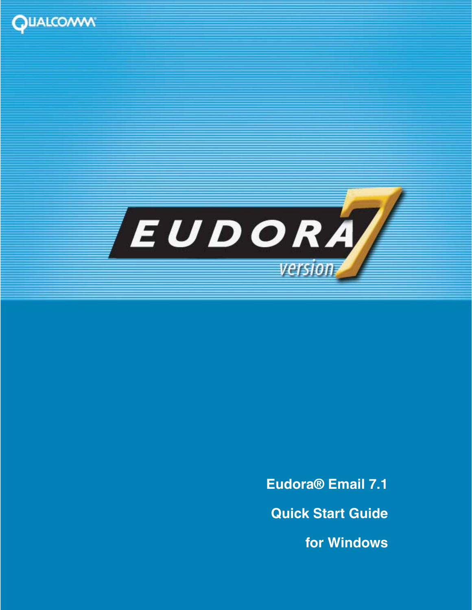



**Eudora® Email 7.1 Quick Start Guide for Windows**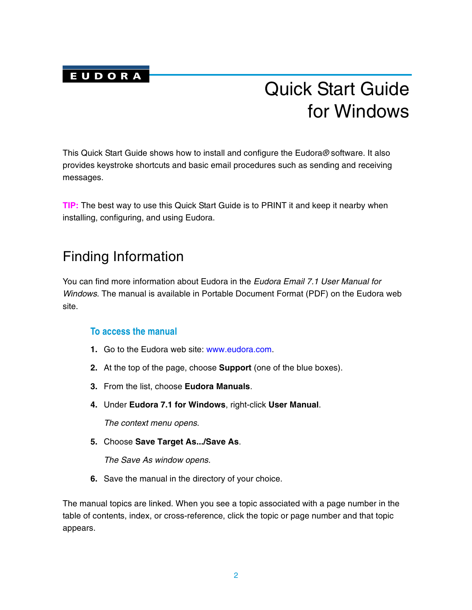

# Quick Start Guide for Windows

This Quick Start Guide shows how to install and configure the Eudora*®* software. It also provides keystroke shortcuts and basic email procedures such as sending and receiving messages.

**TIP:** The best way to use this Quick Start Guide is to PRINT it and keep it nearby when installing, configuring, and using Eudora.

### Finding Information

You can find more information about Eudora in the *Eudora Email 7.1 User Manual for Windows*. The manual is available in Portable Document Format (PDF) on the Eudora web site.

### **To access the manual**

- **1.** Go to the Eudora web site: [www.eudora.com.](http://www.eudora.com)
- **2.** At the top of the page, choose **Support** (one of the blue boxes).
- **3.** From the list, choose **Eudora Manuals**.
- **4.** Under **Eudora 7.1 for Windows**, right-click **User Manual**.

*The context menu opens.*

**5.** Choose **Save Target As.../Save As**.

*The Save As window opens.* 

**6.** Save the manual in the directory of your choice.

The manual topics are linked. When you see a topic associated with a page number in the table of contents, index, or cross-reference, click the topic or page number and that topic appears.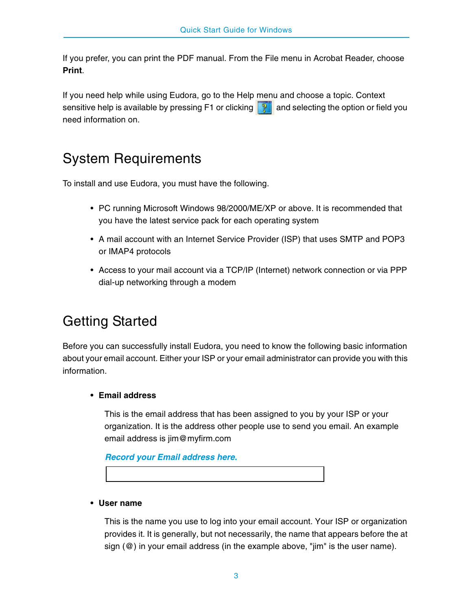If you prefer, you can print the PDF manual. From the File menu in Acrobat Reader, choose **Print**.

If you need help while using Eudora, go to the Help menu and choose a topic. Context sensitive help is available by pressing F1 or clicking  $\mathbb{R}$  and selecting the option or field you need information on.

# System Requirements

To install and use Eudora, you must have the following.

- PC running Microsoft Windows 98/2000/ME/XP or above. It is recommended that you have the latest service pack for each operating system
- A mail account with an Internet Service Provider (ISP) that uses SMTP and POP3 or IMAP4 protocols
- Access to your mail account via a TCP/IP (Internet) network connection or via PPP dial-up networking through a modem

# Getting Started

Before you can successfully install Eudora, you need to know the following basic information about your email account. Either your ISP or your email administrator can provide you with this information.

### **• Email address**

This is the email address that has been assigned to you by your ISP or your organization. It is the address other people use to send you email. An example email address is jim@myfirm.com

*Record your Email address here.*

#### **• User name**

This is the name you use to log into your email account. Your ISP or organization provides it. It is generally, but not necessarily, the name that appears before the at sign (@) in your email address (in the example above, "jim" is the user name).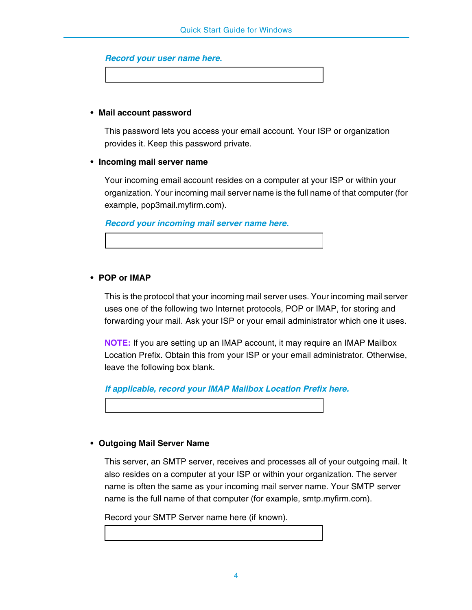| Record your user name here. |  |  |  |
|-----------------------------|--|--|--|
|-----------------------------|--|--|--|

#### **• Mail account password**

This password lets you access your email account. Your ISP or organization provides it. Keep this password private.

#### **• Incoming mail server name**

Your incoming email account resides on a computer at your ISP or within your organization. Your incoming mail server name is the full name of that computer (for example, pop3mail.myfirm.com).

*Record your incoming mail server name here.*

#### **• POP or IMAP**

This is the protocol that your incoming mail server uses. Your incoming mail server uses one of the following two Internet protocols, POP or IMAP, for storing and forwarding your mail. Ask your ISP or your email administrator which one it uses.

**NOTE:** If you are setting up an IMAP account, it may require an IMAP Mailbox Location Prefix. Obtain this from your ISP or your email administrator. Otherwise, leave the following box blank.

*If applicable, record your IMAP Mailbox Location Prefix here.*

#### **• Outgoing Mail Server Name**

This server, an SMTP server, receives and processes all of your outgoing mail. It also resides on a computer at your ISP or within your organization. The server name is often the same as your incoming mail server name. Your SMTP server name is the full name of that computer (for example, smtp.myfirm.com).

Record your SMTP Server name here (if known).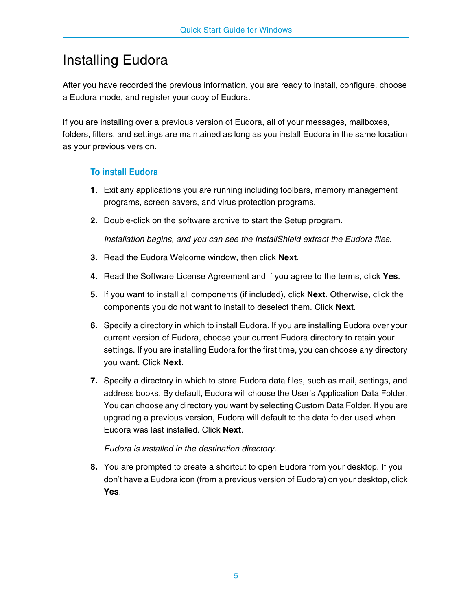## Installing Eudora

After you have recorded the previous information, you are ready to install, configure, choose a Eudora mode, and register your copy of Eudora.

If you are installing over a previous version of Eudora, all of your messages, mailboxes, folders, filters, and settings are maintained as long as you install Eudora in the same location as your previous version.

### **To install Eudora**

- **1.** Exit any applications you are running including toolbars, memory management programs, screen savers, and virus protection programs.
- **2.** Double-click on the software archive to start the Setup program.

*Installation begins, and you can see the InstallShield extract the Eudora files.* 

- **3.** Read the Eudora Welcome window, then click **Next**.
- **4.** Read the Software License Agreement and if you agree to the terms, click **Yes**.
- **5.** If you want to install all components (if included), click **Next**. Otherwise, click the components you do not want to install to deselect them. Click **Next**.
- **6.** Specify a directory in which to install Eudora. If you are installing Eudora over your current version of Eudora, choose your current Eudora directory to retain your settings. If you are installing Eudora for the first time, you can choose any directory you want. Click **Next**.
- **7.** Specify a directory in which to store Eudora data files, such as mail, settings, and address books. By default, Eudora will choose the User's Application Data Folder. You can choose any directory you want by selecting Custom Data Folder. If you are upgrading a previous version, Eudora will default to the data folder used when Eudora was last installed. Click **Next**.

*Eudora is installed in the destination directory.*

**8.** You are prompted to create a shortcut to open Eudora from your desktop. If you don't have a Eudora icon (from a previous version of Eudora) on your desktop, click **Yes**.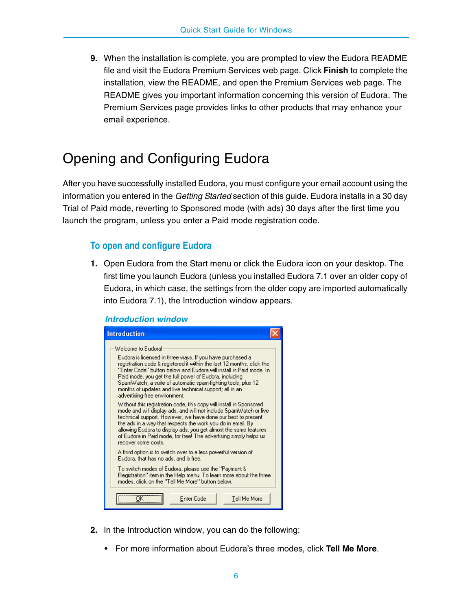**9.** When the installation is complete, you are prompted to view the Eudora README file and visit the Eudora Premium Services web page. Click **Finish** to complete the installation, view the README, and open the Premium Services web page. The README gives you important information concerning this version of Eudora. The Premium Services page provides links to other products that may enhance your email experience.

# <span id="page-5-0"></span>Opening and Configuring Eudora

After you have successfully installed Eudora, you must configure your email account using the information you entered in the *Getting Started* section of this guide. Eudora installs in a 30 day Trial of Paid mode, reverting to Sponsored mode (with ads) 30 days after the first time you launch the program, unless you enter a Paid mode registration code.

### **To open and configure Eudora**

**1.** Open Eudora from the Start menu or click the Eudora icon on your desktop. The first time you launch Eudora (unless you installed Eudora 7.1 over an older copy of Eudora, in which case, the settings from the older copy are imported automatically into Eudora 7.1), the Introduction window appears.

| <b>Introduction</b>                                                                                                                                                                                                                                                                                                                                                                                                                      |  |
|------------------------------------------------------------------------------------------------------------------------------------------------------------------------------------------------------------------------------------------------------------------------------------------------------------------------------------------------------------------------------------------------------------------------------------------|--|
| Welcome to Eudoral                                                                                                                                                                                                                                                                                                                                                                                                                       |  |
| Eudora is licensed in three ways. If you have purchased a<br>registration code & registered it within the last 12 months, click the<br>"Enter Code" button below and Eudora will install in Paid mode. In<br>Paid mode, you get the full power of Eudora, including<br>SpamWatch, a suite of automatic spam-fighting tools, plus 12<br>months of updates and live technical support; all in an<br>advertising-free environment.          |  |
| Without this registration code, this copy will install in Sponsored<br>mode and will display ads, and will not include SpamWatch or live.<br>technical support. However, we have done our best to present<br>the ads in a way that respects the work you do in email. By<br>allowing Eudora to display ads, you get almost the same features<br>of Eudora in Paid mode, for free! The advertising simply helps us<br>recover some costs. |  |
| A third option is to switch over to a less powerful version of<br>Eudora, that has no ads, and is free.                                                                                                                                                                                                                                                                                                                                  |  |
| To switch modes of Eudora, please use the "Payment &<br>Registration'' item in the Help menu. To learn more about the three.<br>modes, click on the "Tell Me More" button below.                                                                                                                                                                                                                                                         |  |
| <b>Enter Code</b><br>Tell Me More                                                                                                                                                                                                                                                                                                                                                                                                        |  |

*Introduction window*

- **2.** In the Introduction window, you can do the following:
	- For more information about Eudora's three modes, click **Tell Me More**.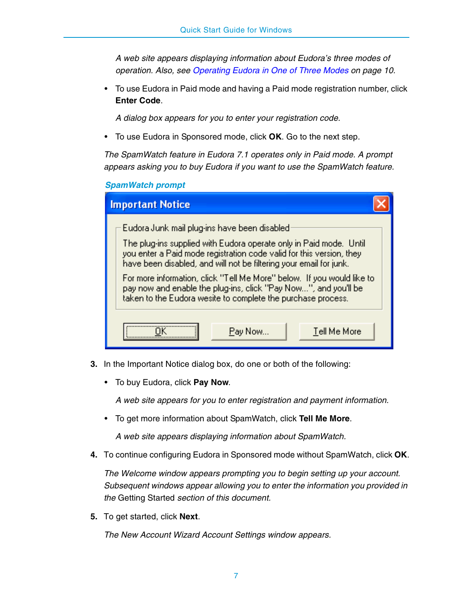*A web site appears displaying information about Eudora's three modes of operation. Also, see [Operating Eudora in One of Three Modes on page](#page-9-0) 10.*

• To use Eudora in Paid mode and having a Paid mode registration number, click **Enter Code**.

*A dialog box appears for you to enter your registration code.*

• To use Eudora in Sponsored mode, click **OK**. Go to the next step.

*The SpamWatch feature in Eudora 7.1 operates only in Paid mode. A prompt appears asking you to buy Eudora if you want to use the SpamWatch feature.*

*SpamWatch prompt*

| <b>Important Notice</b>                                                                                                                                                                                                                                                                                                                                                                                                                                                       |
|-------------------------------------------------------------------------------------------------------------------------------------------------------------------------------------------------------------------------------------------------------------------------------------------------------------------------------------------------------------------------------------------------------------------------------------------------------------------------------|
| Eudora Junk mail plug-ins have been disabled<br>The plug-ins supplied with Eudora operate only in Paid mode. Until<br>you enter a Paid mode registration code valid for this version, they<br>have been disabled, and will not be filtering your email for junk.<br>For more information, click "Tell Me More" below. If you would like to<br>pay now and enable the plug-ins, click "Pay Now", and you'll be<br>taken to the Eudora wesite to complete the purchase process. |
| Tell Me More<br>Pay Now                                                                                                                                                                                                                                                                                                                                                                                                                                                       |

- **3.** In the Important Notice dialog box, do one or both of the following:
	- To buy Eudora, click **Pay Now**.

*A web site appears for you to enter registration and payment information.*

• To get more information about SpamWatch, click **Tell Me More**.

*A web site appears displaying information about SpamWatch.*

**4.** To continue configuring Eudora in Sponsored mode without SpamWatch, click **OK**.

*The Welcome window appears prompting you to begin setting up your account. Subsequent windows appear allowing you to enter the information you provided in the* Getting Started *section of this document.*

**5.** To get started, click **Next**.

*The New Account Wizard Account Settings window appears.*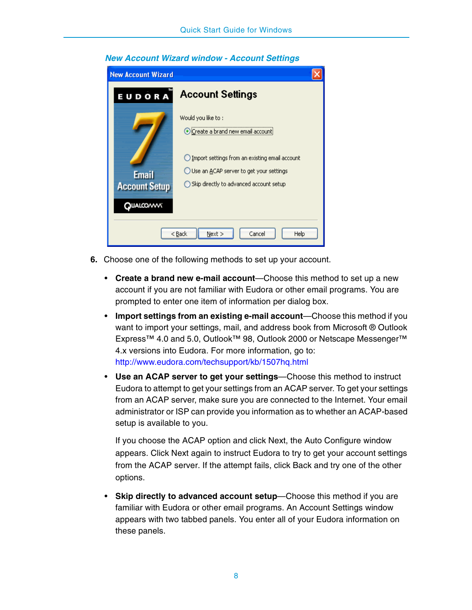| <b>New Account Wizard</b>         |                                                                                               |
|-----------------------------------|-----------------------------------------------------------------------------------------------|
| EUDORA                            | <b>Account Settings</b>                                                                       |
|                                   | Would you like to :<br><b>O</b> Create a brand new email account                              |
| <b>Email</b>                      | ◯ Import settings from an existing email account<br>◯ Use an ACAP server to get your settings |
| <b>Account Setup</b><br>QUALCOVVV | Skip directly to advanced account setup                                                       |
| Next<br>< Back<br>Cancel<br>Help  |                                                                                               |

#### *New Account Wizard window - Account Settings*

- **6.** Choose one of the following methods to set up your account.
	- **Create a brand new e-mail account**—Choose this method to set up a new account if you are not familiar with Eudora or other email programs. You are prompted to enter one item of information per dialog box.
	- **Import settings from an existing e-mail account**—Choose this method if you want to import your settings, mail, and address book from Microsoft ® Outlook Express™ 4.0 and 5.0, Outlook™ 98, Outlook 2000 or Netscape Messenger™ 4.x versions into Eudora. For more information, go to: <http://www.eudora.com/techsupport/kb/1507hq.html>
	- **Use an ACAP server to get your settings**—Choose this method to instruct Eudora to attempt to get your settings from an ACAP server. To get your settings from an ACAP server, make sure you are connected to the Internet. Your email administrator or ISP can provide you information as to whether an ACAP-based setup is available to you.

If you choose the ACAP option and click Next, the Auto Configure window appears. Click Next again to instruct Eudora to try to get your account settings from the ACAP server. If the attempt fails, click Back and try one of the other options.

• **Skip directly to advanced account setup**—Choose this method if you are familiar with Eudora or other email programs. An Account Settings window appears with two tabbed panels. You enter all of your Eudora information on these panels.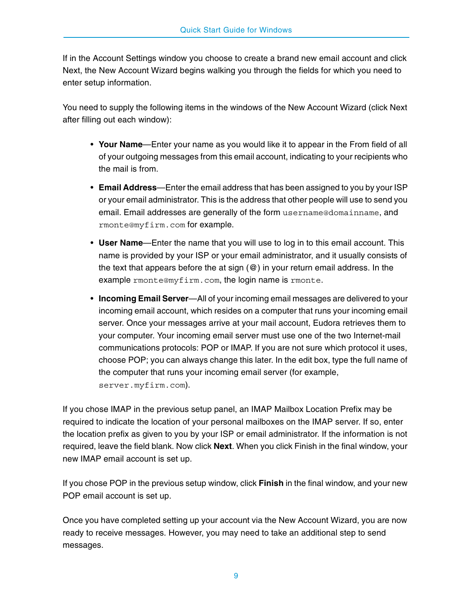If in the Account Settings window you choose to create a brand new email account and click Next, the New Account Wizard begins walking you through the fields for which you need to enter setup information.

You need to supply the following items in the windows of the New Account Wizard (click Next after filling out each window):

- **Your Name**—Enter your name as you would like it to appear in the From field of all of your outgoing messages from this email account, indicating to your recipients who the mail is from.
- **Email Address**—Enter the email address that has been assigned to you by your ISP or your email administrator. This is the address that other people will use to send you email. Email addresses are generally of the form username@domainname, and rmonte@myfirm.com for example.
- **User Name**—Enter the name that you will use to log in to this email account. This name is provided by your ISP or your email administrator, and it usually consists of the text that appears before the at sign  $(\mathcal{Q})$  in your return email address. In the example rmonte@myfirm.com, the login name is rmonte.
- **Incoming Email Server**—All of your incoming email messages are delivered to your incoming email account, which resides on a computer that runs your incoming email server. Once your messages arrive at your mail account, Eudora retrieves them to your computer. Your incoming email server must use one of the two Internet-mail communications protocols: POP or IMAP. If you are not sure which protocol it uses, choose POP; you can always change this later. In the edit box, type the full name of the computer that runs your incoming email server (for example, server.myfirm.com).

If you chose IMAP in the previous setup panel, an IMAP Mailbox Location Prefix may be required to indicate the location of your personal mailboxes on the IMAP server. If so, enter the location prefix as given to you by your ISP or email administrator. If the information is not required, leave the field blank. Now click **Next**. When you click Finish in the final window, your new IMAP email account is set up.

If you chose POP in the previous setup window, click **Finish** in the final window, and your new POP email account is set up.

Once you have completed setting up your account via the New Account Wizard, you are now ready to receive messages. However, you may need to take an additional step to send messages.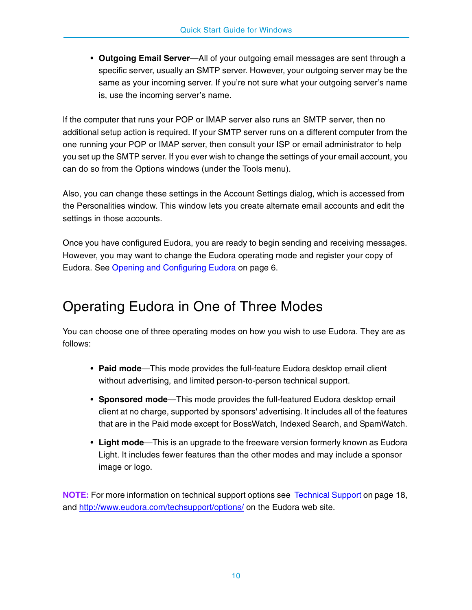• **Outgoing Email Server**—All of your outgoing email messages are sent through a specific server, usually an SMTP server. However, your outgoing server may be the same as your incoming server. If you're not sure what your outgoing server's name is, use the incoming server's name.

If the computer that runs your POP or IMAP server also runs an SMTP server, then no additional setup action is required. If your SMTP server runs on a different computer from the one running your POP or IMAP server, then consult your ISP or email administrator to help you set up the SMTP server. If you ever wish to change the settings of your email account, you can do so from the Options windows (under the Tools menu).

Also, you can change these settings in the Account Settings dialog, which is accessed from the Personalities window. This window lets you create alternate email accounts and edit the settings in those accounts.

Once you have configured Eudora, you are ready to begin sending and receiving messages. However, you may want to change the Eudora operating mode and register your copy of Eudora. See [Opening and Configuring Eudora on page](#page-5-0) 6.

## <span id="page-9-0"></span>Operating Eudora in One of Three Modes

You can choose one of three operating modes on how you wish to use Eudora. They are as follows:

- **Paid mode**—This mode provides the full-feature Eudora desktop email client without advertising, and limited person-to-person technical support.
- **Sponsored mode**—This mode provides the full-featured Eudora desktop email client at no charge, supported by sponsors' advertising. It includes all of the features that are in the Paid mode except for BossWatch, Indexed Search, and SpamWatch.
- **Light mode**—This is an upgrade to the freeware version formerly known as Eudora Light. It includes fewer features than the other modes and may include a sponsor image or logo.

**NOTE:** For more information on technical support options see [Technical Support](#page-17-0) [on page](http://www.eudora.com/techsupport/options/) 18, [and h](http://www.eudora.com/techsupport/options/)ttp://www.eudora.com/techsupport/options/ on the Eudora web site.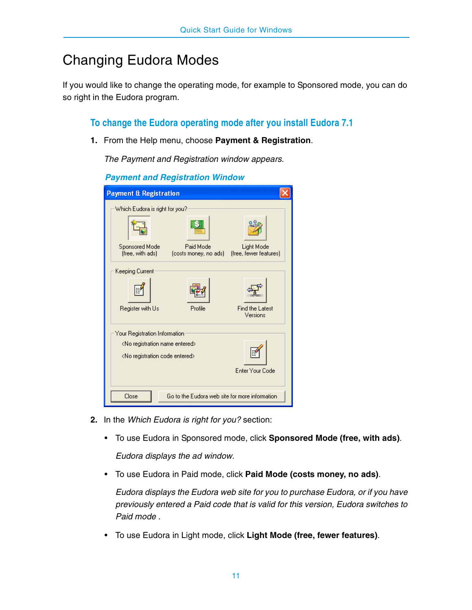# Changing Eudora Modes

If you would like to change the operating mode, for example to Sponsored mode, you can do so right in the Eudora program.

**To change the Eudora operating mode after you install Eudora 7.1**

**1.** From the Help menu, choose **Payment & Registration**.

*The Payment and Registration window appears.*

| r ayıncın anu neyisu adon window             |                                                 |                                      |
|----------------------------------------------|-------------------------------------------------|--------------------------------------|
| <b>Payment &amp; Registration</b>            |                                                 |                                      |
| Which Eudora is right for you?               |                                                 |                                      |
|                                              |                                                 |                                      |
| Sponsored Mode<br>(free, with ads)           | Paid Mode<br>(costs money, no ads)              | Light Mode<br>(free, fewer features) |
| Keeping Current                              |                                                 |                                      |
|                                              |                                                 |                                      |
| Register with Us                             | Profile                                         | Find the Latest<br>Versions          |
| Your Registration Information                |                                                 |                                      |
| <no entered="" name="" registration=""></no> |                                                 |                                      |
| <no code="" entered="" registration=""></no> |                                                 |                                      |
|                                              |                                                 | Enter Your Code                      |
| Close                                        | Go to the Eudora web site for more information. |                                      |

*Payment and Registration Window* 

- **2.** In the *Which Eudora is right for you?* section:
	- To use Eudora in Sponsored mode, click **Sponsored Mode (free, with ads)**.

*Eudora displays the ad window.* 

• To use Eudora in Paid mode, click **Paid Mode (costs money, no ads)**.

*Eudora displays the Eudora web site for you to purchase Eudora, or if you have previously entered a Paid code that is valid for this version, Eudora switches to Paid mode .*

• To use Eudora in Light mode, click **Light Mode (free, fewer features)**.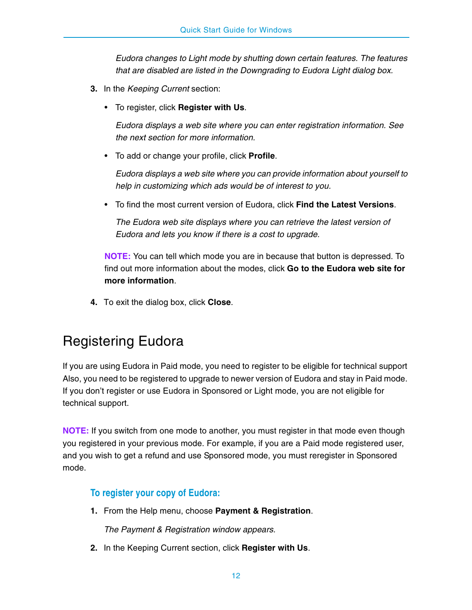*Eudora changes to Light mode by shutting down certain features. The features that are disabled are listed in the Downgrading to Eudora Light dialog box.*

- **3.** In the *Keeping Current* section:
	- To register, click **Register with Us**.

*Eudora displays a web site where you can enter registration information. See the next section for more information.*

• To add or change your profile, click **Profile**.

*Eudora displays a web site where you can provide information about yourself to help in customizing which ads would be of interest to you.*

• To find the most current version of Eudora, click **Find the Latest Versions**.

*The Eudora web site displays where you can retrieve the latest version of Eudora and lets you know if there is a cost to upgrade.*

**NOTE:** You can tell which mode you are in because that button is depressed. To find out more information about the modes, click **Go to the Eudora web site for more information**.

**4.** To exit the dialog box, click **Close**.

# Registering Eudora

If you are using Eudora in Paid mode, you need to register to be eligible for technical support Also, you need to be registered to upgrade to newer version of Eudora and stay in Paid mode. If you don't register or use Eudora in Sponsored or Light mode, you are not eligible for technical support.

**NOTE:** If you switch from one mode to another, you must register in that mode even though you registered in your previous mode. For example, if you are a Paid mode registered user, and you wish to get a refund and use Sponsored mode, you must reregister in Sponsored mode.

### **To register your copy of Eudora:**

**1.** From the Help menu, choose **Payment & Registration**.

*The Payment & Registration window appears.*

**2.** In the Keeping Current section, click **Register with Us**.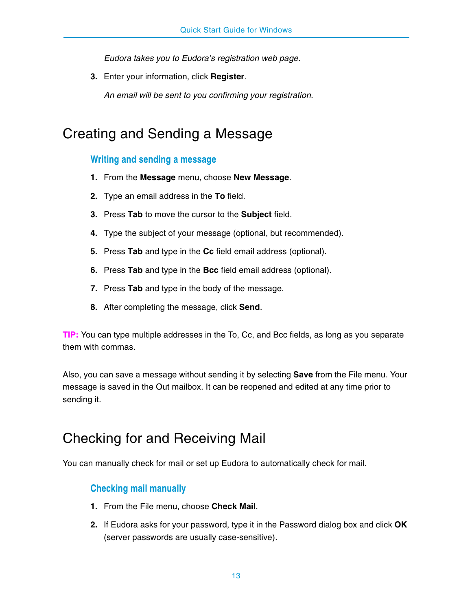*Eudora takes you to Eudora's registration web page.*

**3.** Enter your information, click **Register**.

*An email will be sent to you confirming your registration.* 

### Creating and Sending a Message

### **Writing and sending a message**

- **1.** From the **Message** menu, choose **New Message**.
- **2.** Type an email address in the **To** field.
- **3.** Press **Tab** to move the cursor to the **Subject** field.
- **4.** Type the subject of your message (optional, but recommended).
- **5.** Press **Tab** and type in the **Cc** field email address (optional).
- **6.** Press **Tab** and type in the **Bcc** field email address (optional).
- **7.** Press **Tab** and type in the body of the message.
- **8.** After completing the message, click **Send**.

**TIP:** You can type multiple addresses in the To, Cc, and Bcc fields, as long as you separate them with commas.

Also, you can save a message without sending it by selecting **Save** from the File menu. Your message is saved in the Out mailbox. It can be reopened and edited at any time prior to sending it.

### Checking for and Receiving Mail

You can manually check for mail or set up Eudora to automatically check for mail.

### **Checking mail manually**

- **1.** From the File menu, choose **Check Mail**.
- **2.** If Eudora asks for your password, type it in the Password dialog box and click **OK** (server passwords are usually case-sensitive).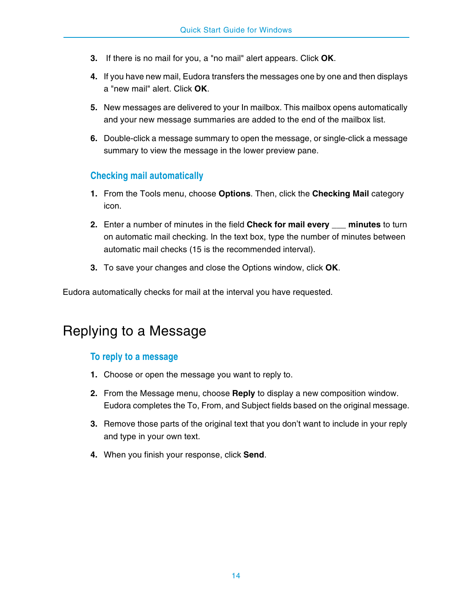- **3.** If there is no mail for you, a "no mail" alert appears. Click **OK**.
- **4.** If you have new mail, Eudora transfers the messages one by one and then displays a "new mail" alert. Click **OK**.
- **5.** New messages are delivered to your In mailbox. This mailbox opens automatically and your new message summaries are added to the end of the mailbox list.
- **6.** Double-click a message summary to open the message, or single-click a message summary to view the message in the lower preview pane.

### **Checking mail automatically**

- **1.** From the Tools menu, choose **Options**. Then, click the **Checking Mail** category icon.
- **2.** Enter a number of minutes in the field **Check for mail every \_\_\_ minutes** to turn on automatic mail checking. In the text box, type the number of minutes between automatic mail checks (15 is the recommended interval).
- **3.** To save your changes and close the Options window, click **OK**.

Eudora automatically checks for mail at the interval you have requested.

### Replying to a Message

### **To reply to a message**

- **1.** Choose or open the message you want to reply to.
- **2.** From the Message menu, choose **Reply** to display a new composition window. Eudora completes the To, From, and Subject fields based on the original message.
- **3.** Remove those parts of the original text that you don't want to include in your reply and type in your own text.
- **4.** When you finish your response, click **Send**.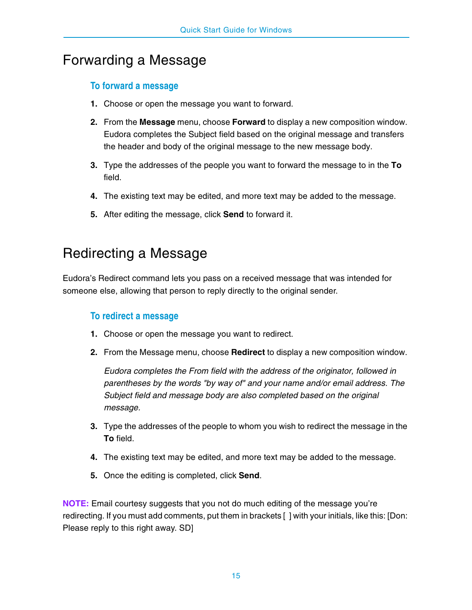## Forwarding a Message

### **To forward a message**

- **1.** Choose or open the message you want to forward.
- **2.** From the **Message** menu, choose **Forward** to display a new composition window. Eudora completes the Subject field based on the original message and transfers the header and body of the original message to the new message body.
- **3.** Type the addresses of the people you want to forward the message to in the **To** field.
- **4.** The existing text may be edited, and more text may be added to the message.
- **5.** After editing the message, click **Send** to forward it.

### Redirecting a Message

Eudora's Redirect command lets you pass on a received message that was intended for someone else, allowing that person to reply directly to the original sender.

### **To redirect a message**

- **1.** Choose or open the message you want to redirect.
- **2.** From the Message menu, choose **Redirect** to display a new composition window.

*Eudora completes the From field with the address of the originator, followed in parentheses by the words "by way of" and your name and/or email address. The Subject field and message body are also completed based on the original message.*

- **3.** Type the addresses of the people to whom you wish to redirect the message in the **To** field.
- **4.** The existing text may be edited, and more text may be added to the message.
- **5.** Once the editing is completed, click **Send**.

**NOTE:** Email courtesy suggests that you not do much editing of the message you're redirecting. If you must add comments, put them in brackets [ ] with your initials, like this: [Don: Please reply to this right away. SD]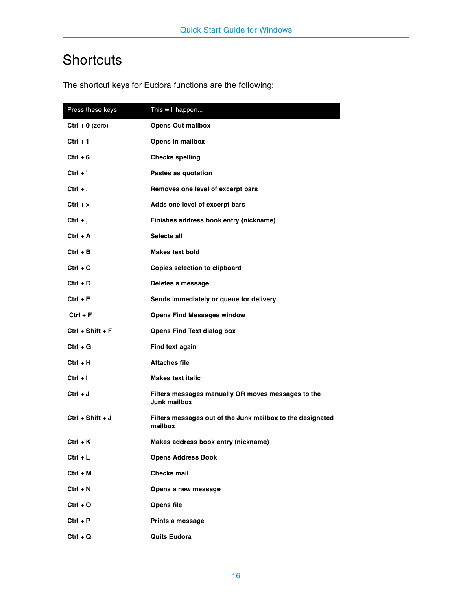# **Shortcuts**

| Press these keys   | This will happen                                                          |
|--------------------|---------------------------------------------------------------------------|
| $Ctrl + 0 (zero)$  | <b>Opens Out mailbox</b>                                                  |
| $Ctrl + 1$         | Opens In mailbox                                                          |
| $Ctrl + 6$         | <b>Checks spelling</b>                                                    |
| $Ctrl + '$         | Pastes as quotation                                                       |
| $Ctrl + .$         | Removes one level of excerpt bars                                         |
| $Ctrl + > $        | Adds one level of excerpt bars                                            |
| Ctrl $+$ ,         | Finishes address book entry (nickname)                                    |
| $Ctrl + A$         | Selects all                                                               |
| $Ctrl + B$         | <b>Makes text bold</b>                                                    |
| $Ctrl + C$         | <b>Copies selection to clipboard</b>                                      |
| $Ctrl + D$         | Deletes a message                                                         |
| $Ctrl + E$         | Sends immediately or queue for delivery                                   |
| $Ctrl + F$         | <b>Opens Find Messages window</b>                                         |
| $Ctrl + Shift + F$ | <b>Opens Find Text dialog box</b>                                         |
| $Ctrl + G$         | Find text again                                                           |
| $Ctrl + H$         | <b>Attaches file</b>                                                      |
| $Ctrl + I$         | <b>Makes text italic</b>                                                  |
| $Ctrl + J$         | Filters messages manually OR moves messages to the<br><b>Junk mailbox</b> |
| $Ctrl + Shift + J$ | Filters messages out of the Junk mailbox to the designated<br>mailbox     |
| $Ctrl + K$         | Makes address book entry (nickname)                                       |
| $Ctrl + L$         | <b>Opens Address Book</b>                                                 |
| $Ctrl + M$         | <b>Checks mail</b>                                                        |
| $Ctrl + N$         | Opens a new message                                                       |
| $Ctrl + O$         | Opens file                                                                |
| $Ctrl + P$         | Prints a message                                                          |
| $Ctrl + Q$         | <b>Quits Eudora</b>                                                       |

The shortcut keys for Eudora functions are the following: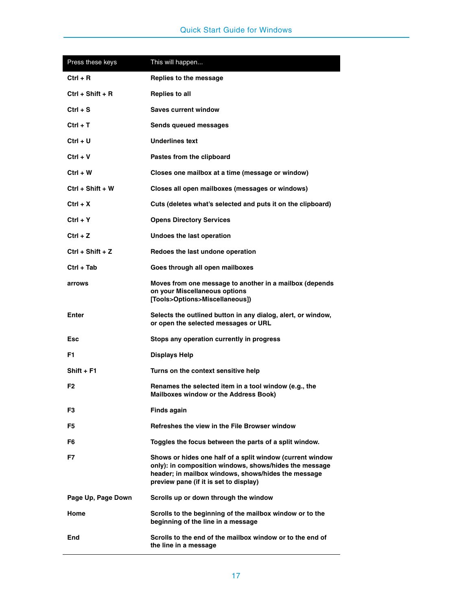| Press these keys   | This will happen                                                                                                                                                                                                     |
|--------------------|----------------------------------------------------------------------------------------------------------------------------------------------------------------------------------------------------------------------|
| $Ctrl + R$         | Replies to the message                                                                                                                                                                                               |
| Ctrl + Shift + R   | <b>Replies to all</b>                                                                                                                                                                                                |
| $Ctrl + S$         | <b>Saves current window</b>                                                                                                                                                                                          |
| Ctrl + T           | Sends queued messages                                                                                                                                                                                                |
| Ctrl + U           | <b>Underlines text</b>                                                                                                                                                                                               |
| $Ctrl + V$         | Pastes from the clipboard                                                                                                                                                                                            |
| Ctrl + W           | Closes one mailbox at a time (message or window)                                                                                                                                                                     |
| Ctrl + Shift + W   | Closes all open mailboxes (messages or windows)                                                                                                                                                                      |
| Ctrl + X           | Cuts (deletes what's selected and puts it on the clipboard)                                                                                                                                                          |
| Ctrl + Y           | <b>Opens Directory Services</b>                                                                                                                                                                                      |
| $Ctrl + Z$         | Undoes the last operation                                                                                                                                                                                            |
| Ctrl + Shift + Z   | Redoes the last undone operation                                                                                                                                                                                     |
| Ctrl + Tab         | Goes through all open mailboxes                                                                                                                                                                                      |
| arrows             | Moves from one message to another in a mailbox (depends<br>on your Miscellaneous options<br>[Tools>Options>Miscellaneous])                                                                                           |
| Enter              | Selects the outlined button in any dialog, alert, or window,<br>or open the selected messages or URL                                                                                                                 |
| Esc                | Stops any operation currently in progress                                                                                                                                                                            |
| F1                 | <b>Displays Help</b>                                                                                                                                                                                                 |
| $Shift + F1$       | Turns on the context sensitive help                                                                                                                                                                                  |
| F2                 | Renames the selected item in a tool window (e.g., the<br><b>Mailboxes window or the Address Book)</b>                                                                                                                |
| F3                 | <b>Finds again</b>                                                                                                                                                                                                   |
| F5                 | Refreshes the view in the File Browser window                                                                                                                                                                        |
| F6                 | Toggles the focus between the parts of a split window.                                                                                                                                                               |
| F7                 | Shows or hides one half of a split window (current window<br>only): in composition windows, shows/hides the message<br>header; in mailbox windows, shows/hides the message<br>preview pane (if it is set to display) |
| Page Up, Page Down | Scrolls up or down through the window                                                                                                                                                                                |
| Home               | Scrolls to the beginning of the mailbox window or to the<br>beginning of the line in a message                                                                                                                       |
| End                | Scrolls to the end of the mailbox window or to the end of<br>the line in a message                                                                                                                                   |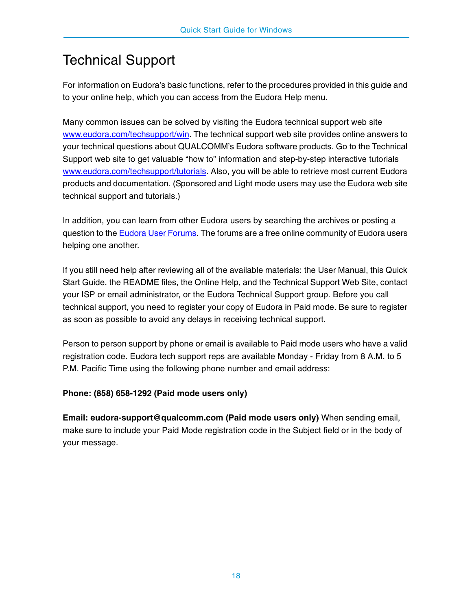# <span id="page-17-0"></span>Technical Support

For information on Eudora's basic functions, refer to the procedures provided in this guide and to your online help, which you can access from the Eudora Help menu.

Many common issues can be solved by visiting the Eudora technical support web site [w](http://www.eudora.com/techsupport/win/)ww.eudora.com/techsupport/win. The technical support web site provides online answers to your technical questions about QUALCOMM's Eudora software products. Go to the Technical Support web site to get valuable "how to" information and step-by-step interactive tutorials [w](http://www.eudora.com/techsupport/tutorials/)ww.eudora.com/techsupport/tutorials. Also, you will be able to retrieve most current Eudora products and documentation. (Sponsored and Light mode users may use the Eudora web site technical support and tutorials.)

In addition, you can learn from other Eudora users by searching the archives or posting a question to the [Eudora User Forums](http://eudorabb.qualcomm.com/forumdisplay.php?f=6). The forums are a free online community of Eudora users helping one another.

If you still need help after reviewing all of the available materials: the User Manual, this Quick Start Guide, the README files, the Online Help, and the Technical Support Web Site, contact your ISP or email administrator, or the Eudora Technical Support group. Before you call technical support, you need to register your copy of Eudora in Paid mode. Be sure to register as soon as possible to avoid any delays in receiving technical support.

Person to person support by phone or email is available to Paid mode users who have a valid registration code. Eudora tech support reps are available Monday - Friday from 8 A.M. to 5 P.M. Pacific Time using the following phone number and email address:

### **Phone: (858) 658-1292 (Paid mode users only)**

**Email: eudora-support@qualcomm.com (Paid mode users only)** When sending email, make sure to include your Paid Mode registration code in the Subject field or in the body of your message.